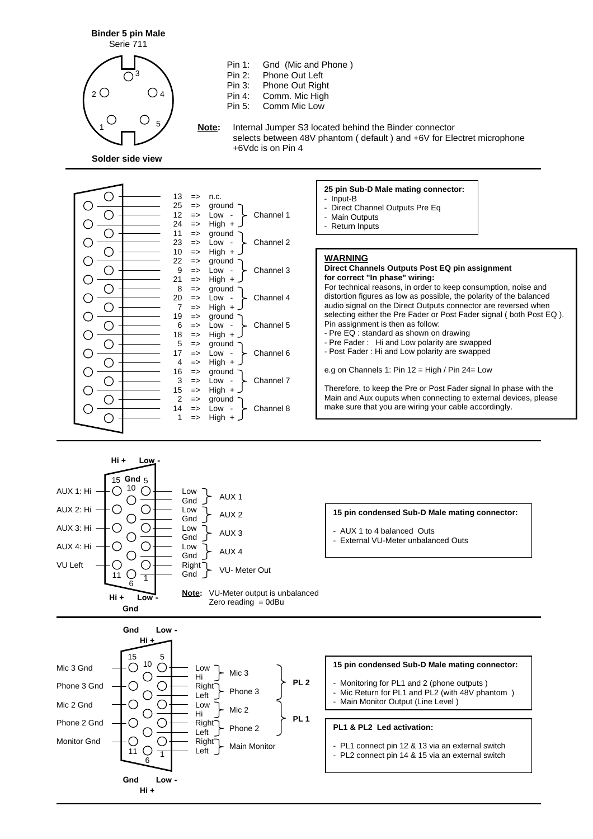